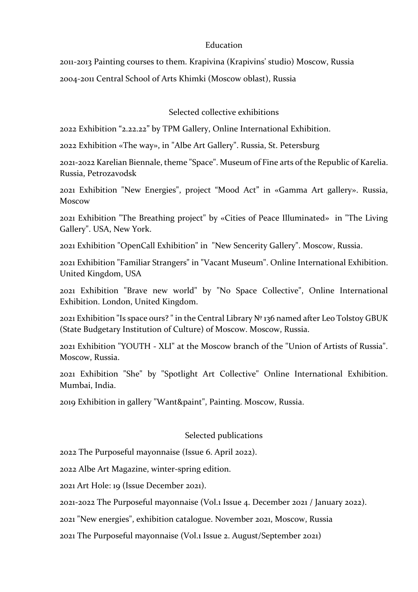## Education

2011-2013 Painting courses to them. Krapivina (Krapivins' studio) Moscow, Russia 2004-2011 Central School of Arts Khimki (Moscow oblast), Russia

Selected collective exhibitions

2022 Exhibition "2.22.22" by TPM Gallery, Online International Exhibition.

2022 Exhibition «The way», in "Albe Art Gallery". Russia, St. Petersburg

2021-2022 Karelian Biennale, theme "Space". Museum of Fine arts of the Republic of Karelia. Russia, Petrozavodsk

2021 Exhibition "New Energies", project "Mood Act" in «Gamma Art gallery». Russia, Moscow

2021 Exhibition "The Breathing project" by «Cities of Peace Illuminated» in "The Living Gallery". USA, New York.

2021 Exhibition "OpenCall Exhibition" in "New Sencerity Gallery". Moscow, Russia.

2021 Exhibition "Familiar Strangers" in "Vacant Museum". Online International Exhibition. United Kingdom, USA

2021 Exhibition "Brave new world" by "No Space Collective", Online International Exhibition. London, United Kingdom.

2021 Exhibition "Is space ours? " in the Central Library № 136 named after Leo Tolstoy GBUK (State Budgetary Institution of Culture) of Moscow. Moscow, Russia.

2021 Exhibition "YOUTH - XLI" at the Moscow branch of the "Union of Artists of Russia". Moscow, Russia.

2021 Exhibition "She" by "Spotlight Art Collective" Online International Exhibition. Mumbai, India.

2019 Exhibition in gallery "Want&paint", Painting. Moscow, Russia.

## Selected publications

2022 The Purposeful mayonnaise (Issue 6. April 2022).

2022 Albe Art Magazine, winter-spring edition.

2021 Art Hole: 19 (Issue December 2021).

2021-2022 The Purposeful mayonnaise (Vol.1 Issue 4. December 2021 / January 2022).

2021 "New energies", exhibition catalogue. November 2021, Moscow, Russia

2021 The Purposeful mayonnaise (Vol.1 Issue 2. August/September 2021)